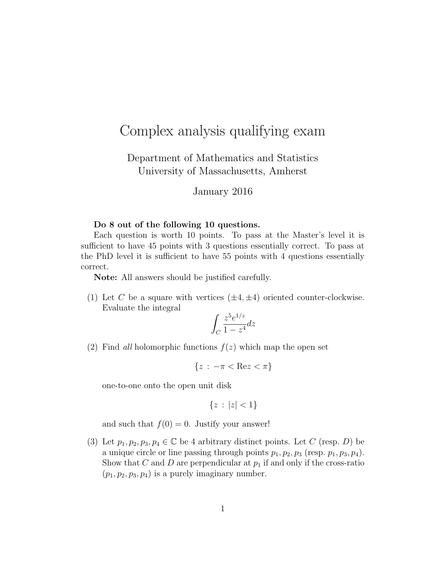## Complex analysis qualifying exam

Department of Mathematics and Statistics University of Massachusetts, Amherst

## January 2016

## Do 8 out of the following 10 questions.

Each question is worth 10 points. To pass at the Master's level it is sufficient to have 45 points with 3 questions essentially correct. To pass at the PhD level it is sufficient to have 55 points with 4 questions essentially correct.

Note: All answers should be justified carefully.

(1) Let C be a square with vertices  $(\pm 4, \pm 4)$  oriented counter-clockwise. Evaluate the integral

$$
\int_C \frac{z^5 e^{1/z}}{1 - z^4} dz
$$

(2) Find all holomorphic functions  $f(z)$  which map the open set

$$
\{z \,:\, -\pi < \text{Re}z < \pi\}
$$

one-to-one onto the open unit disk

$$
\{z \,:\, |z| < 1\}
$$

and such that  $f(0) = 0$ . Justify your answer!

(3) Let  $p_1, p_2, p_3, p_4 \in \mathbb{C}$  be 4 arbitrary distinct points. Let C (resp. D) be a unique circle or line passing through points  $p_1, p_2, p_3$  (resp.  $p_1, p_3, p_4$ ). Show that C and D are perpendicular at  $p_1$  if and only if the cross-ratio  $(p_1, p_2, p_3, p_4)$  is a purely imaginary number.